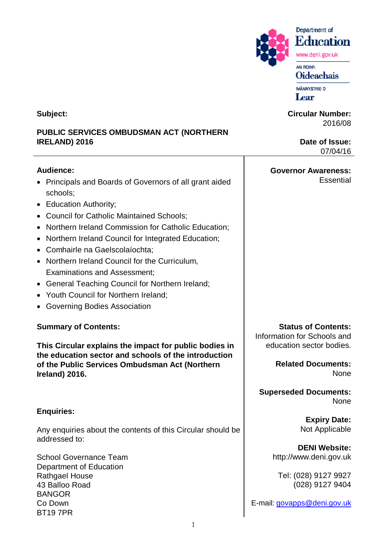

**Subject:**

### **PUBLIC SERVICES OMBUDSMAN ACT (NORTHERN IRELAND) 2016**

## **Audience:**

- Principals and Boards of Governors of all grant aided schools;
- Education Authority;
- Council for Catholic Maintained Schools;
- Northern Ireland Commission for Catholic Education;
- Northern Ireland Council for Integrated Education;
- Comhairle na Gaelscolaíochta;
- Northern Ireland Council for the Curriculum, Examinations and Assessment;
- General Teaching Council for Northern Ireland;
- Youth Council for Northern Ireland;
- Governing Bodies Association

#### **Summary of Contents:**

**This Circular explains the impact for public bodies in the education sector and schools of the introduction of the Public Services Ombudsman Act (Northern Ireland) 2016.**

#### **Enquiries:**

Any enquiries about the contents of this Circular should be addressed to:

School Governance Team Department of Education Rathgael House 43 Balloo Road BANGOR Co Down BT19 7PR

**Circular Number:** 2016/08

MÄNNYSTRIE D Lear

**Governor Awareness:**

**Date of Issue:** 07/04/16

**Essential** 

| <b>Status of Contents:</b><br>Information for Schools and |
|-----------------------------------------------------------|
| education sector bodies.                                  |

**Related Documents:** None

**Superseded Documents:** None

> **Expiry Date:** Not Applicable

**DENI Website:** http://www.deni.gov.uk

Tel: (028) 9127 9927 (028) 9127 9404

E-mail: [govapps@deni.gov.uk](mailto:govapps@deni.gov.uk)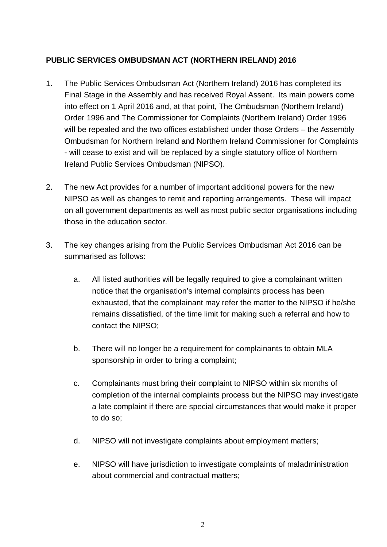# **PUBLIC SERVICES OMBUDSMAN ACT (NORTHERN IRELAND) 2016**

- 1. The Public Services Ombudsman Act (Northern Ireland) 2016 has completed its Final Stage in the Assembly and has received Royal Assent. Its main powers come into effect on 1 April 2016 and, at that point, The Ombudsman (Northern Ireland) Order 1996 and The Commissioner for Complaints (Northern Ireland) Order 1996 will be repealed and the two offices established under those Orders – the Assembly Ombudsman for Northern Ireland and Northern Ireland Commissioner for Complaints - will cease to exist and will be replaced by a single statutory office of Northern Ireland Public Services Ombudsman (NIPSO).
- 2. The new Act provides for a number of important additional powers for the new NIPSO as well as changes to remit and reporting arrangements. These will impact on all government departments as well as most public sector organisations including those in the education sector.
- 3. The key changes arising from the Public Services Ombudsman Act 2016 can be summarised as follows:
	- a. All listed authorities will be legally required to give a complainant written notice that the organisation's internal complaints process has been exhausted, that the complainant may refer the matter to the NIPSO if he/she remains dissatisfied, of the time limit for making such a referral and how to contact the NIPSO;
	- b. There will no longer be a requirement for complainants to obtain MLA sponsorship in order to bring a complaint;
	- c. Complainants must bring their complaint to NIPSO within six months of completion of the internal complaints process but the NIPSO may investigate a late complaint if there are special circumstances that would make it proper to do so;
	- d. NIPSO will not investigate complaints about employment matters;
	- e. NIPSO will have jurisdiction to investigate complaints of maladministration about commercial and contractual matters;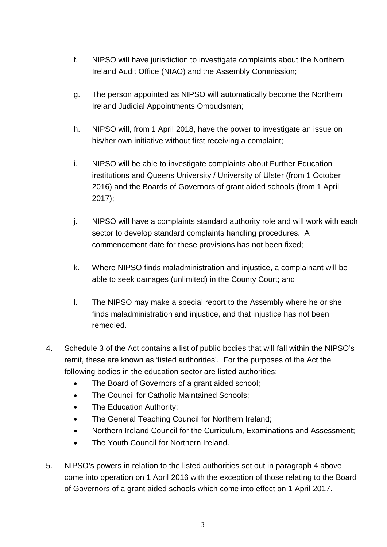- f. NIPSO will have jurisdiction to investigate complaints about the Northern Ireland Audit Office (NIAO) and the Assembly Commission;
- g. The person appointed as NIPSO will automatically become the Northern Ireland Judicial Appointments Ombudsman;
- h. NIPSO will, from 1 April 2018, have the power to investigate an issue on his/her own initiative without first receiving a complaint;
- i. NIPSO will be able to investigate complaints about Further Education institutions and Queens University / University of Ulster (from 1 October 2016) and the Boards of Governors of grant aided schools (from 1 April 2017);
- j. NIPSO will have a complaints standard authority role and will work with each sector to develop standard complaints handling procedures. A commencement date for these provisions has not been fixed;
- k. Where NIPSO finds maladministration and injustice, a complainant will be able to seek damages (unlimited) in the County Court; and
- l. The NIPSO may make a special report to the Assembly where he or she finds maladministration and injustice, and that injustice has not been remedied.
- 4. Schedule 3 of the Act contains a list of public bodies that will fall within the NIPSO's remit, these are known as 'listed authorities'. For the purposes of the Act the following bodies in the education sector are listed authorities:
	- The Board of Governors of a grant aided school;
	- The Council for Catholic Maintained Schools:
	- The Education Authority;
	- The General Teaching Council for Northern Ireland;
	- Northern Ireland Council for the Curriculum, Examinations and Assessment;
	- The Youth Council for Northern Ireland.
- 5. NIPSO's powers in relation to the listed authorities set out in paragraph 4 above come into operation on 1 April 2016 with the exception of those relating to the Board of Governors of a grant aided schools which come into effect on 1 April 2017.